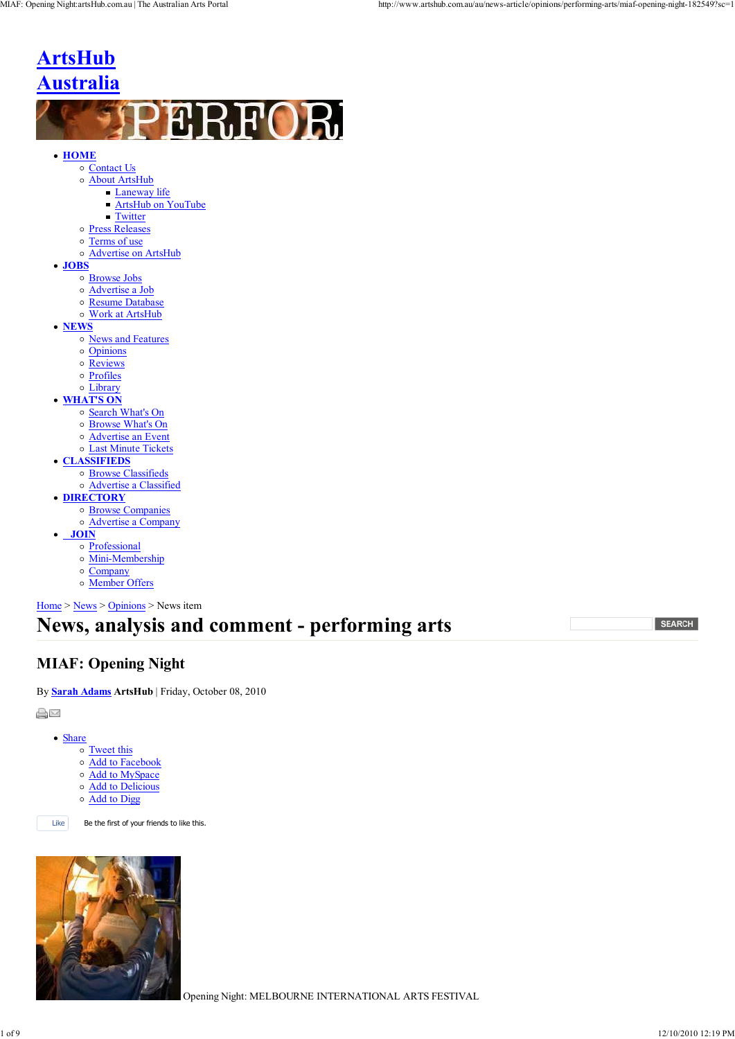# **ArtsHub Australia** PERFORI

#### **HOME**

- o Contact Us
- About ArtsHub
	- **Laneway life**
	- ArtsHub on YouTube
	- **Twitter**
- Press Releases
- o Terms of use
- Advertise on ArtsHub
- **JOBS**
	- Browse Jobs
	- Advertise a Job
	- o Resume Database
	- Work at ArtsHub
- **NEWS**
	- o News and Features
	- Opinions
	- Reviews
	- Profiles
	- Library
- **WHAT'S ON**
	- o Search What's On
	- Browse What's On
	- Advertise an Event
	- Last Minute Tickets
- **CLASSIFIEDS**
	- Browse Classifieds
	- Advertise a Classified
- **DIRECTORY**
	- Browse Companies
	- Advertise a Company
- **JOIN**
	- Professional
	- Mini-Membership
	- o Company
	- Member Offers

 $Home > News > Opinions > News$  item

- Share
	- Tweet this
	- Add to Facebook
	- o **Add to MySpace**
	-
	- o **Add to Delicious** Add to Digg

Like Be the first of your friends to like this.



## **News, analysis and comment - performing arts**

**SEARCH** 

### **MIAF: Opening Night**

By **Sarah Adams ArtsHub** | Friday, October 08, 2010

 $\mathbb{R}^{\times}$ 

Opening Night: MELBOURNE INTERNATIONAL ARTS FESTIVAL



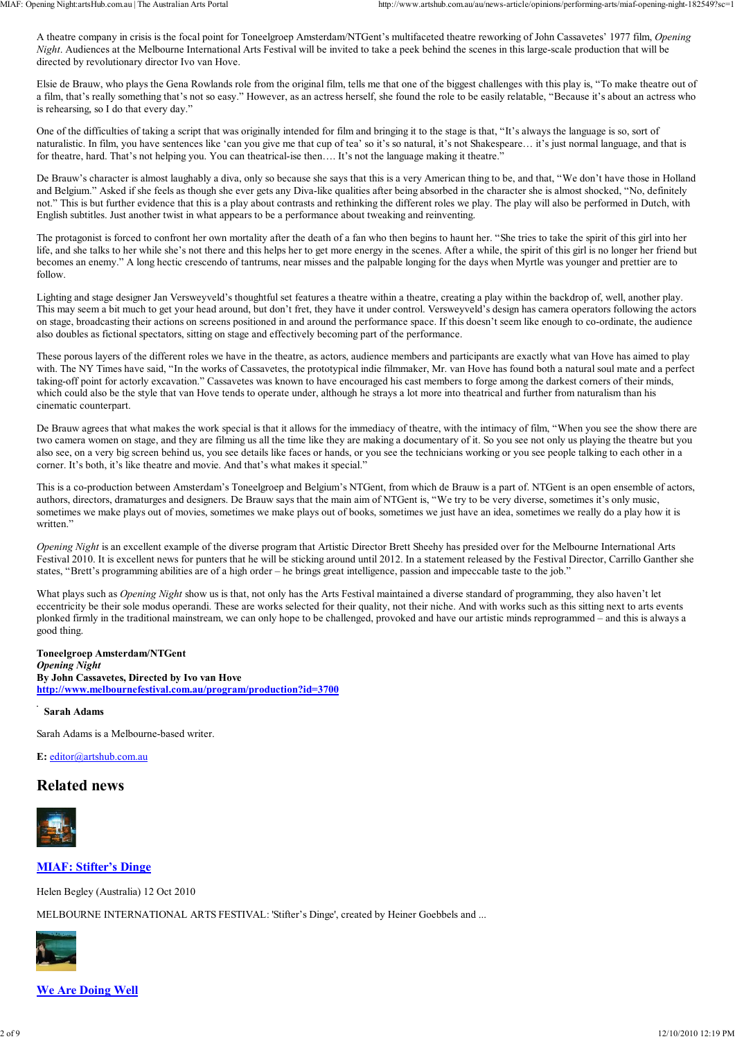A theatre company in crisis is the focal point for Toneelgroep Amsterdam/NTGent's multifaceted theatre reworking of John Cassavetes' 1977 film, *Opening Night*. Audiences at the Melbourne International Arts Festival will be invited to take a peek behind the scenes in this large-scale production that will be directed by revolutionary director Ivo van Hove.

One of the difficulties of taking a script that was originally intended for film and bringing it to the stage is that, "It's always the language is so, sort of naturalistic. In film, you have sentences like 'can you give me that cup of tea' so it's so natural, it's not Shakespeare… it's just normal language, and that is for theatre, hard. That's not helping you. You can theatrical-ise then.... It's not the language making it theatre."

Elsie de Brauw, who plays the Gena Rowlands role from the original film, tells me that one of the biggest challenges with this play is, "To make theatre out of a film, that's really something that's not so easy." However, as an actress herself, she found the role to be easily relatable, "Because it's about an actress who is rehearsing, so I do that every day."

De Brauw's character is almost laughably a diva, only so because she says that this is a very American thing to be, and that, "We don't have those in Holland and Belgium." Asked if she feels as though she ever gets any Diva-like qualities after being absorbed in the character she is almost shocked, "No, definitely not." This is but further evidence that this is a play about contrasts and rethinking the different roles we play. The play will also be performed in Dutch, with English subtitles. Just another twist in what appears to be a performance about tweaking and reinventing.

The protagonist is forced to confront her own mortality after the death of a fan who then begins to haunt her. "She tries to take the spirit of this girl into her life, and she talks to her while she's not there and this helps her to get more energy in the scenes. After a while, the spirit of this girl is no longer her friend but becomes an enemy." A long hectic crescendo of tantrums, near misses and the palpable longing for the days when Myrtle was younger and prettier are to follow.

Lighting and stage designer Jan Versweyveld's thoughtful set features a theatre within a theatre, creating a play within the backdrop of, well, another play. This may seem a bit much to get your head around, but don't fret, they have it under control. Versweyveld's design has camera operators following the actors on stage, broadcasting their actions on screens positioned in and around the performance space. If this doesn't seem like enough to co-ordinate, the audience also doubles as fictional spectators, sitting on stage and effectively becoming part of the performance.

These porous layers of the different roles we have in the theatre, as actors, audience members and participants are exactly what van Hove has aimed to play with. The NY Times have said, "In the works of Cassavetes, the prototypical indie filmmaker, Mr. van Hove has found both a natural soul mate and a perfect taking-off point for actorly excavation." Cassavetes was known to have encouraged his cast members to forge among the darkest corners of their minds, which could also be the style that van Hove tends to operate under, although he strays a lot more into theatrical and further from naturalism than his cinematic counterpart.

De Brauw agrees that what makes the work special is that it allows for the immediacy of theatre, with the intimacy of film, "When you see the show there are two camera women on stage, and they are filming us all the time like they are making a documentary of it. So you see not only us playing the theatre but you also see, on a very big screen behind us, you see details like faces or hands, or you see the technicians working or you see people talking to each other in a corner. It's both, it's like theatre and movie. And that's what makes it special."

This is a co-production between Amsterdam's Toneelgroep and Belgium's NTGent, from which de Brauw is a part of. NTGent is an open ensemble of actors, authors, directors, dramaturges and designers. De Brauw says that the main aim of NTGent is, "We try to be very diverse, sometimes it's only music, sometimes we make plays out of movies, sometimes we make plays out of books, sometimes we just have an idea, sometimes we really do a play how it is written."

*Opening Night* is an excellent example of the diverse program that Artistic Director Brett Sheehy has presided over for the Melbourne International Arts Festival 2010. It is excellent news for punters that he will be sticking around until 2012. In a statement released by the Festival Director, Carrillo Ganther she states, "Brett's programming abilities are of a high order – he brings great intelligence, passion and impeccable taste to the job."

What plays such as *Opening Night* show us is that, not only has the Arts Festival maintained a diverse standard of programming, they also haven't let eccentricity be their sole modus operandi. These are works selected for their quality, not their niche. And with works such as this sitting next to arts events plonked firmly in the traditional mainstream, we can only hope to be challenged, provoked and have our artistic minds reprogrammed – and this is always a good thing.

**Toneelgroep Amsterdam/NTGent** *Opening Night* **By John Cassavetes, Directed by Ivo van Hove http://www.melbournefestival.com.au/program/production?id=3700**

**Sarah Adams**

Sarah Adams is a Melbourne-based writer.

**E:** editor@artshub.com.au

### **Related news**



#### **MIAF: Stifter's Dinge**

Helen Begley (Australia) 12 Oct 2010

MELBOURNE INTERNATIONAL ARTS FESTIVAL: 'Stifter's Dinge', created by Heiner Goebbels and ...



**We Are Doing Well**

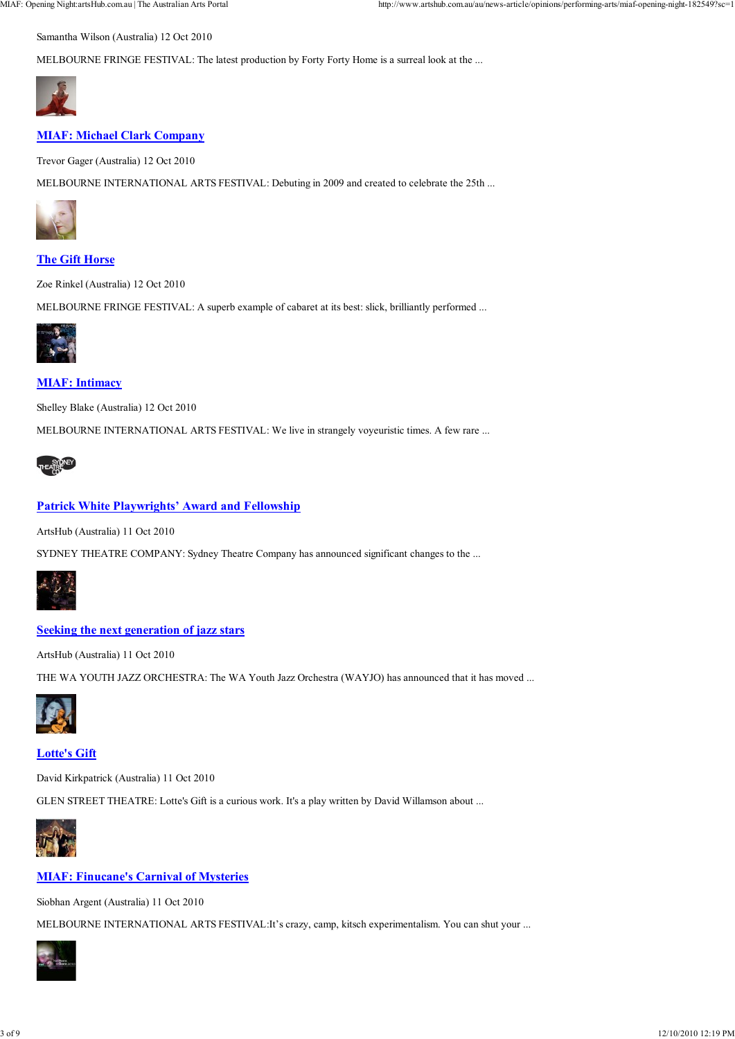Samantha Wilson (Australia) 12 Oct 2010

MELBOURNE FRINGE FESTIVAL: The latest production by Forty Forty Home is a surreal look at the ...



#### **MIAF: Michael Clark Company**

Trevor Gager (Australia) 12 Oct 2010

MELBOURNE INTERNATIONAL ARTS FESTIVAL: Debuting in 2009 and created to celebrate the 25th ...



**The Gift Horse**

Zoe Rinkel (Australia) 12 Oct 2010

MELBOURNE FRINGE FESTIVAL: A superb example of cabaret at its best: slick, brilliantly performed ...



#### **MIAF: Intimacy**

Shelley Blake (Australia) 12 Oct 2010

MELBOURNE INTERNATIONAL ARTS FESTIVAL: We live in strangely voyeuristic times. A few rare ...



#### **Patrick White Playwrights' Award and Fellowship**

ArtsHub (Australia) 11 Oct 2010

SYDNEY THEATRE COMPANY: Sydney Theatre Company has announced significant changes to the ...



### **Seeking the next generation of jazz stars**

ArtsHub (Australia) 11 Oct 2010

THE WA YOUTH JAZZ ORCHESTRA: The WA Youth Jazz Orchestra (WAYJO) has announced that it has moved ...



#### **Lotte's Gift**

David Kirkpatrick (Australia) 11 Oct 2010

GLEN STREET THEATRE: Lotte's Gift is a curious work. It's a play written by David Willamson about ...



#### **MIAF: Finucane's Carnival of Mysteries**

Siobhan Argent (Australia) 11 Oct 2010

MELBOURNE INTERNATIONAL ARTS FESTIVAL:It's crazy, camp, kitsch experimentalism. You can shut your ...





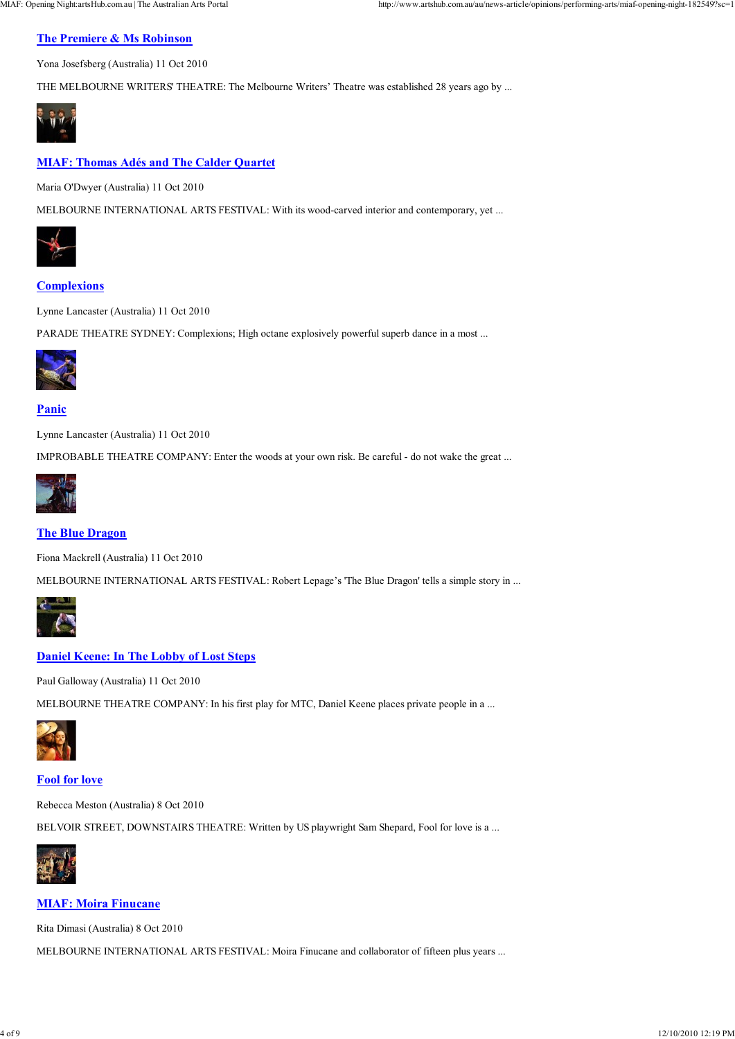#### **The Premiere & Ms Robinson**

Yona Josefsberg (Australia) 11 Oct 2010

THE MELBOURNE WRITERS' THEATRE: The Melbourne Writers' Theatre was established 28 years ago by ...



#### **MIAF: Thomas Adés and The Calder Quartet**

Maria O'Dwyer (Australia) 11 Oct 2010

MELBOURNE INTERNATIONAL ARTS FESTIVAL: With its wood-carved interior and contemporary, yet ...



#### **Complexions**

Lynne Lancaster (Australia) 11 Oct 2010

PARADE THEATRE SYDNEY: Complexions; High octane explosively powerful superb dance in a most ...



#### **Panic**

Lynne Lancaster (Australia) 11 Oct 2010

IMPROBABLE THEATRE COMPANY: Enter the woods at your own risk. Be careful - do not wake the great ...



#### **The Blue Dragon**

Fiona Mackrell (Australia) 11 Oct 2010

MELBOURNE INTERNATIONAL ARTS FESTIVAL: Robert Lepage's 'The Blue Dragon' tells a simple story in ...



#### **Daniel Keene: In The Lobby of Lost Steps**

Paul Galloway (Australia) 11 Oct 2010

MELBOURNE THEATRE COMPANY: In his first play for MTC, Daniel Keene places private people in a ...



#### **Fool for love**



Rebecca Meston (Australia) 8 Oct 2010

BELVOIR STREET, DOWNSTAIRS THEATRE: Written by US playwright Sam Shepard, Fool for love is a ...



#### **MIAF: Moira Finucane**

Rita Dimasi (Australia) 8 Oct 2010

MELBOURNE INTERNATIONAL ARTS FESTIVAL: Moira Finucane and collaborator of fifteen plus years ...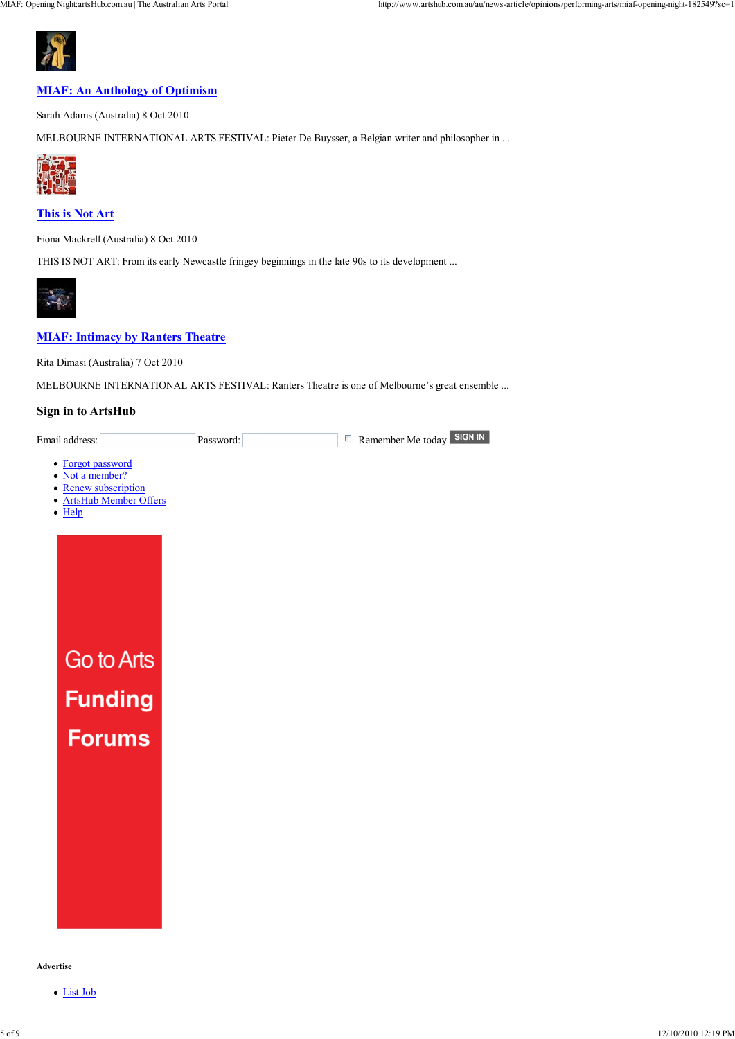#### **MIAF: An Anthology of Optimism**

Sarah Adams (Australia) 8 Oct 2010

MELBOURNE INTERNATIONAL ARTS FESTIVAL: Pieter De Buysser, a Belgian writer and philosopher in ...



#### **This is Not Art**

Fiona Mackrell (Australia) 8 Oct 2010

THIS IS NOT ART: From its early Newcastle fringey beginnings in the late 90s to its development ...



#### **MIAF: Intimacy by Ranters Theatre**

Rita Dimasi (Australia) 7 Oct 2010

MELBOURNE INTERNATIONAL ARTS FESTIVAL: Ranters Theatre is one of Melbourne's great ensemble ...

#### **Sign in to ArtsHub**







**Advertise**

List Job

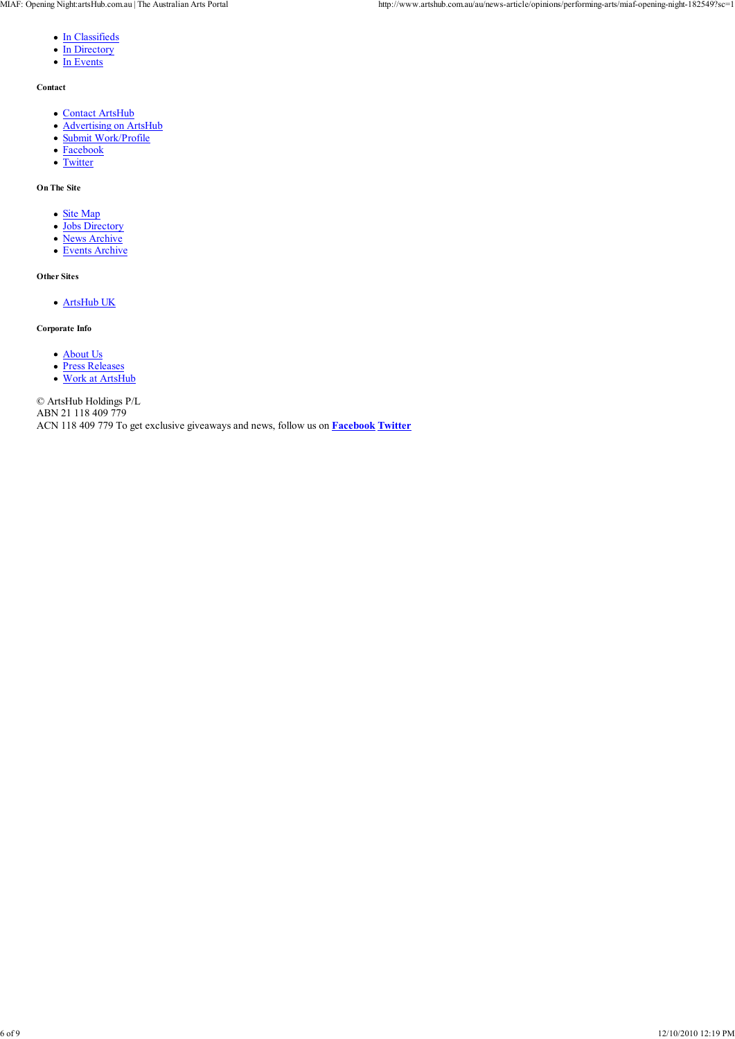- In Classifieds
- In Directory
- $\bullet$  In Events

- Contact ArtsHub
- **Advertising on ArtsHub**
- Submit Work/Profile
- **Facebook**
- Twitter

#### **Contact**

- Site Map
- Jobs Directory
- News Archive
- Events Archive

#### **On The Site**

- About Us
- Press Releases
- Work at ArtsHub

#### **Other Sites**

• **ArtsHub UK** 

#### **Corporate Info**

© ArtsHub Holdings P/L

ABN 21 118 409 779

ACN 118 409 779 To get exclusive giveaways and news, follow us on **Facebook Twitter**

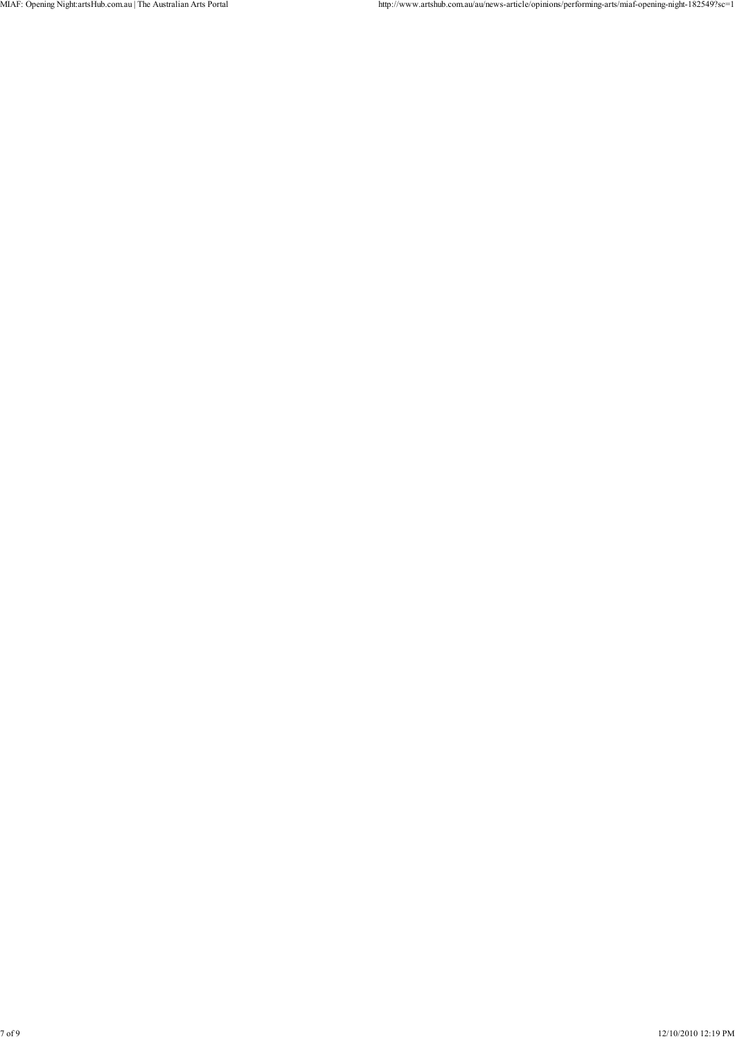MIAF: Opening Night:artsHub.com.au | The Australian Arts Portal http://www.artshub.com.au/au/news-article/opinions/performing-arts/miaf-opening-night-182549?sc=1

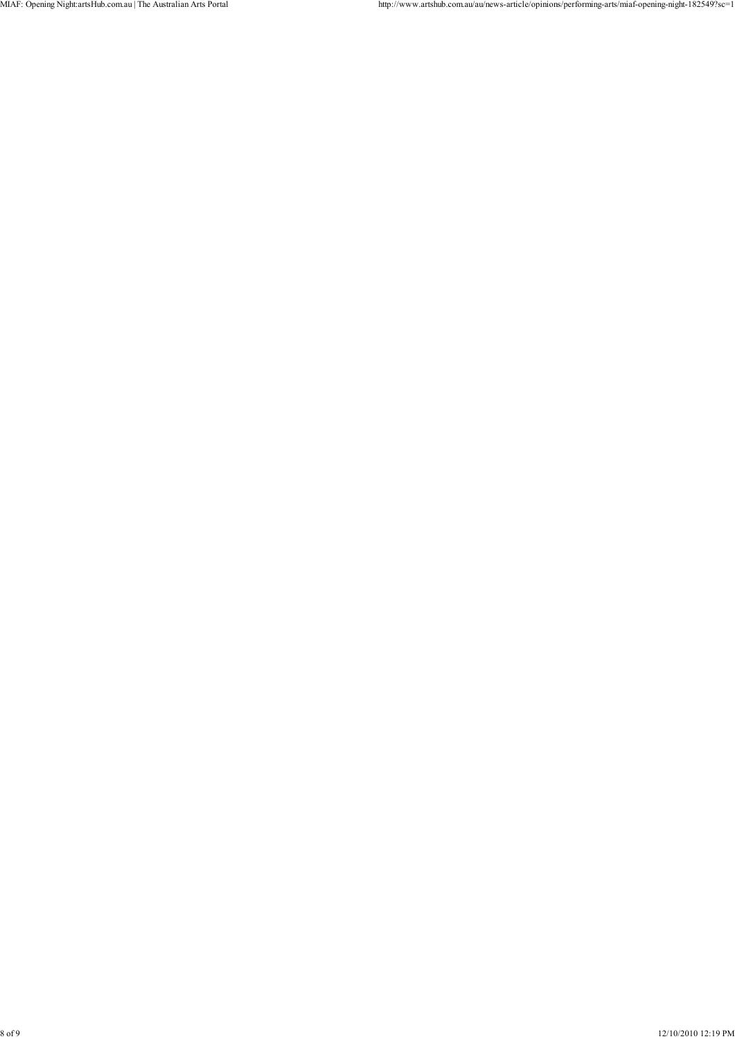MIAF: Opening Night:artsHub.com.au | The Australian Arts Portal http://www.artshub.com.au/au/news-article/opinions/performing-arts/miaf-opening-night-182549?sc=1